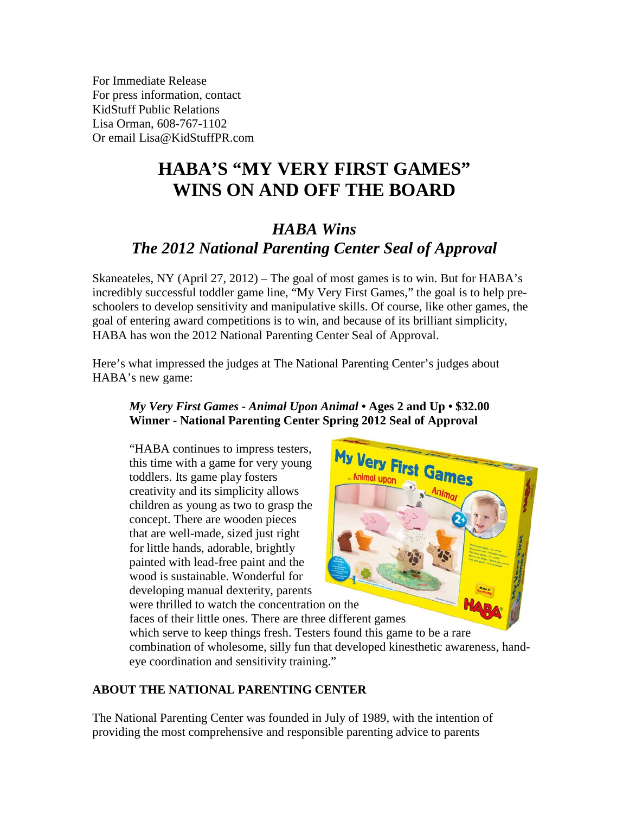For Immediate Release For press information, contact KidStuff Public Relations Lisa Orman, 608-767-1102 Or email [Lisa@KidStuffPR.com](mailto:Lisa@KidStuffPR.com)

# **HABA'S "MY VERY FIRST GAMES" WINS ON AND OFF THE BOARD**

## *HABA Wins The 2012 National Parenting Center Seal of Approval*

Skaneateles, NY (April 27, 2012) – The goal of most games is to win. But for HABA's incredibly successful toddler game line, "My Very First Games," the goal is to help preschoolers to develop sensitivity and manipulative skills. Of course, like other games, the goal of entering award competitions is to win, and because of its brilliant simplicity, HABA has won the 2012 National Parenting Center Seal of Approval.

Here's what impressed the judges at The National Parenting Center's judges about HABA's new game:

#### *My Very First Games - Animal Upon Animal •* **Ages 2 and Up • \$32.00 Winner - National Parenting Center Spring 2012 Seal of Approval**

"HABA continues to impress testers, this time with a game for very young toddlers. Its game play fosters creativity and its simplicity allows children as young as two to grasp the concept. There are wooden pieces that are well-made, sized just right for little hands, adorable, brightly painted with lead-free paint and the wood is sustainable. Wonderful for developing manual dexterity, parents were thrilled to watch the concentration on the



faces of their little ones. There are three different games which serve to keep things fresh. Testers found this game to be a rare combination of wholesome, silly fun that developed kinesthetic awareness, handeye coordination and sensitivity training."

### **ABOUT THE NATIONAL PARENTING CENTER**

The National Parenting Center was founded in July of 1989, with the intention of providing the most comprehensive and responsible parenting advice to parents